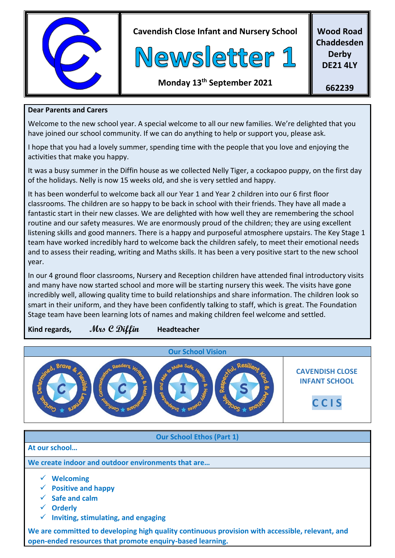

**Cavendish Close Infant and Nursery School**



**Wood Road Chaddesden Derby DE21 4LY**

### **Monday 13 th September 2021**

**662239**

#### **Dear Parents and Carers**

Welcome to the new school year. A special welcome to all our new families. We're delighted that you have joined our school community. If we can do anything to help or support you, please ask.

I hope that you had a lovely summer, spending time with the people that you love and enjoying the activities that make you happy.

It was a busy summer in the Diffin house as we collected Nelly Tiger, a cockapoo puppy, on the first day of the holidays. Nelly is now 15 weeks old, and she is very settled and happy.

It has been wonderful to welcome back all our Year 1 and Year 2 children into our 6 first floor classrooms. The children are so happy to be back in school with their friends. They have all made a fantastic start in their new classes. We are delighted with how well they are remembering the school routine and our safety measures. We are enormously proud of the children; they are using excellent listening skills and good manners. There is a happy and purposeful atmosphere upstairs. The Key Stage 1 team have worked incredibly hard to welcome back the children safely, to meet their emotional needs and to assess their reading, writing and Maths skills. It has been a very positive start to the new school year.

In our 4 ground floor classrooms, Nursery and Reception children have attended final introductory visits and many have now started school and more will be starting nursery this week. The visits have gone incredibly well, allowing quality time to build relationships and share information. The children look so smart in their uniform, and they have been confidently talking to staff, which is great. The Foundation Stage team have been learning lots of names and making children feel welcome and settled.

### **Kind regards, Mrs C Diffin Headteacher**



#### **Our School Ethos (Part 1)**

#### **At our school…**

**We create indoor and outdoor environments that are…**

- ✓ **Welcoming**
- ✓ **Positive and happy**
- ✓ **Safe and calm**
- ✓ **Orderly**
- ✓ **Inviting, stimulating, and engaging**

**We are committed to developing high quality continuous provision with accessible, relevant, and open-ended resources that promote enquiry-based learning.**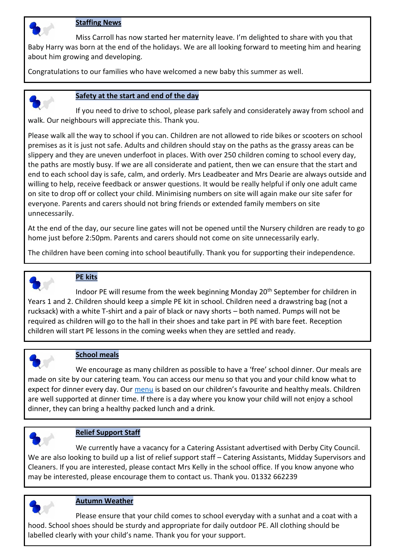

#### **Staffing News**

Miss Carroll has now started her maternity leave. I'm delighted to share with you that Baby Harry was born at the end of the holidays. We are all looking forward to meeting him and hearing about him growing and developing.

Congratulations to our families who have welcomed a new baby this summer as well.



#### **Safety at the start and end of the day**

If you need to drive to school, please park safely and considerately away from school and walk. Our neighbours will appreciate this. Thank you.

Please walk all the way to school if you can. Children are not allowed to ride bikes or scooters on school premises as it is just not safe. Adults and children should stay on the paths as the grassy areas can be slippery and they are uneven underfoot in places. With over 250 children coming to school every day, the paths are mostly busy. If we are all considerate and patient, then we can ensure that the start and end to each school day is safe, calm, and orderly. Mrs Leadbeater and Mrs Dearie are always outside and willing to help, receive feedback or answer questions. It would be really helpful if only one adult came on site to drop off or collect your child. Minimising numbers on site will again make our site safer for everyone. Parents and carers should not bring friends or extended family members on site unnecessarily.

At the end of the day, our secure line gates will not be opened until the Nursery children are ready to go home just before 2:50pm. Parents and carers should not come on site unnecessarily early.

The children have been coming into school beautifully. Thank you for supporting their independence.



#### **PE kits**

Indoor PE will resume from the week beginning Monday 20<sup>th</sup> September for children in Years 1 and 2. Children should keep a simple PE kit in school. Children need a drawstring bag (not a rucksack) with a white T-shirt and a pair of black or navy shorts – both named. Pumps will not be required as children will go to the hall in their shoes and take part in PE with bare feet. Reception children will start PE lessons in the coming weeks when they are settled and ready.



#### **School meals**

We encourage as many children as possible to have a 'free' school dinner. Our meals are made on site by our catering team. You can access our menu so that you and your child know what to expect for dinner every day. Our [menu](file:///C:/Users/carrie.manners/Downloads/Menu-03.09.21-onwards-1.pdf) is based on our children's favourite and healthy meals. Children are well supported at dinner time. If there is a day where you know your child will not enjoy a school dinner, they can bring a healthy packed lunch and a drink.

#### **Relief Support Staff**

We currently have a vacancy for a Catering Assistant advertised with Derby City Council. We are also looking to build up a list of relief support staff – Catering Assistants, Midday Supervisors and Cleaners. If you are interested, please contact Mrs Kelly in the school office. If you know anyone who may be interested, please encourage them to contact us. Thank you. 01332 662239



#### **Autumn Weather**

Please ensure that your child comes to school everyday with a sunhat and a coat with a hood. School shoes should be sturdy and appropriate for daily outdoor PE. All clothing should be labelled clearly with your child's name. Thank you for your support.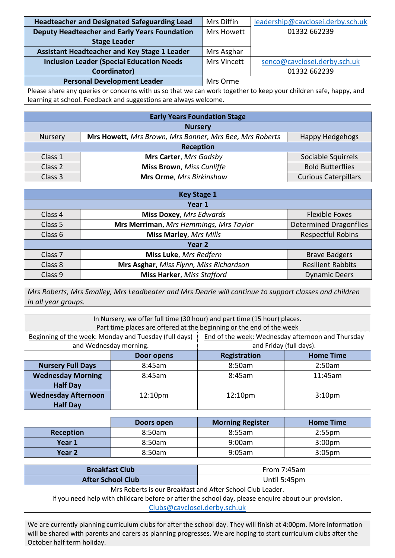| Headteacher and Designated Safeguarding Lead         | Mrs Diffin  | leadership@cavclosei.derby.sch.uk |
|------------------------------------------------------|-------------|-----------------------------------|
| <b>Deputy Headteacher and Early Years Foundation</b> | Mrs Howett  | 01332 662239                      |
| <b>Stage Leader</b>                                  |             |                                   |
| <b>Assistant Headteacher and Key Stage 1 Leader</b>  | Mrs Asghar  |                                   |
| <b>Inclusion Leader (Special Education Needs)</b>    | Mrs Vincett | senco@cavclosei.derby.sch.uk      |
| Coordinator)                                         |             | 01332 662239                      |
| <b>Personal Development Leader</b>                   | Mrs Orme    |                                   |
| $ -$                                                 |             | $\cdots$<br>$\sim$ $\sim$         |

Please share any queries or concerns with us so that we can work together to keep your children safe, happy, and learning at school. Feedback and suggestions are always welcome.

| <b>Early Years Foundation Stage</b> |                                                         |                             |
|-------------------------------------|---------------------------------------------------------|-----------------------------|
| <b>Nursery</b>                      |                                                         |                             |
| <b>Nursery</b>                      | Mrs Howett, Mrs Brown, Mrs Bonner, Mrs Bee, Mrs Roberts | Happy Hedgehogs             |
| <b>Reception</b>                    |                                                         |                             |
| Class 1                             | Mrs Carter, Mrs Gadsby                                  | Sociable Squirrels          |
| Class 2                             | <b>Miss Brown</b> , Miss Cunliffe                       | <b>Bold Butterflies</b>     |
| Class 3                             | Mrs Orme, Mrs Birkinshaw                                | <b>Curious Caterpillars</b> |

| <b>Key Stage 1</b> |                                         |                               |
|--------------------|-----------------------------------------|-------------------------------|
| Year 1             |                                         |                               |
| Class 4            | <b>Miss Doxey, Mrs Edwards</b>          | <b>Flexible Foxes</b>         |
| Class 5            | Mrs Merriman, Mrs Hemmings, Mrs Taylor  | <b>Determined Dragonflies</b> |
| Class 6            | <b>Miss Marley, Mrs Mills</b>           | <b>Respectful Robins</b>      |
| Year 2             |                                         |                               |
| Class <sub>7</sub> | Miss Luke, Mrs Redfern                  | <b>Brave Badgers</b>          |
| Class 8            | Mrs Asghar, Miss Flynn, Miss Richardson | <b>Resilient Rabbits</b>      |
| Class 9            | <b>Miss Harker, Miss Stafford</b>       | <b>Dynamic Deers</b>          |

*Mrs Roberts, Mrs Smalley, Mrs Leadbeater and Mrs Dearie will continue to support classes and children in all year groups.*

| In Nursery, we offer full time (30 hour) and part time (15 hour) places.<br>Part time places are offered at the beginning or the end of the week |                        |                                                   |                         |  |
|--------------------------------------------------------------------------------------------------------------------------------------------------|------------------------|---------------------------------------------------|-------------------------|--|
| Beginning of the week: Monday and Tuesday (full days)                                                                                            |                        | End of the week: Wednesday afternoon and Thursday |                         |  |
|                                                                                                                                                  | and Wednesday morning. |                                                   | and Friday (full days). |  |
|                                                                                                                                                  | Door opens             | Registration                                      | <b>Home Time</b>        |  |
| <b>Nursery Full Days</b>                                                                                                                         | 8:45am                 | 8:50am                                            | 2:50am                  |  |
| <b>Wednesday Morning</b>                                                                                                                         | 8:45am                 | 8:45am                                            | 11:45am                 |  |
| <b>Half Day</b>                                                                                                                                  |                        |                                                   |                         |  |
| <b>Wednesday Afternoon</b>                                                                                                                       | 12:10pm                | 12:10pm                                           | 3:10 <sub>pm</sub>      |  |
| <b>Half Day</b>                                                                                                                                  |                        |                                                   |                         |  |

|                   | Doors open | <b>Morning Register</b> | <b>Home Time</b>   |
|-------------------|------------|-------------------------|--------------------|
| <b>Reception</b>  | 8:50am     | 8:55am                  | 2:55 <sub>pm</sub> |
| Year 1            | 8:50am     | 9:00am                  | 3:00 <sub>pm</sub> |
| Year <sub>2</sub> | 8:50am     | 9:05am                  | 3:05 <sub>pm</sub> |

| <b>Breakfast Club</b>                                                                               | From 7:45am  |  |
|-----------------------------------------------------------------------------------------------------|--------------|--|
| <b>After School Club</b>                                                                            | Until 5:45pm |  |
| Mrs Roberts is our Breakfast and After School Club Leader.                                          |              |  |
| If you need help with childcare before or after the school day, please enquire about our provision. |              |  |
| Clubs@cavclosei.derby.sch.uk                                                                        |              |  |

We are currently planning curriculum clubs for after the school day. They will finish at 4:00pm. More information will be shared with parents and carers as planning progresses. We are hoping to start curriculum clubs after the October half term holiday.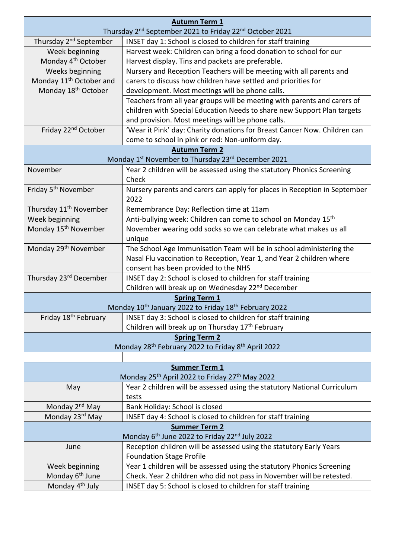|                                                                                 | <b>Autumn Term 1</b>                                                          |  |
|---------------------------------------------------------------------------------|-------------------------------------------------------------------------------|--|
| Thursday 2 <sup>nd</sup> September 2021 to Friday 22 <sup>nd</sup> October 2021 |                                                                               |  |
| Thursday 2 <sup>nd</sup> September                                              | INSET day 1: School is closed to children for staff training                  |  |
| Week beginning                                                                  | Harvest week: Children can bring a food donation to school for our            |  |
| Monday 4 <sup>th</sup> October                                                  | Harvest display. Tins and packets are preferable.                             |  |
| Weeks beginning                                                                 | Nursery and Reception Teachers will be meeting with all parents and           |  |
| Monday 11 <sup>th</sup> October and                                             | carers to discuss how children have settled and priorities for                |  |
| Monday 18 <sup>th</sup> October                                                 | development. Most meetings will be phone calls.                               |  |
|                                                                                 | Teachers from all year groups will be meeting with parents and carers of      |  |
|                                                                                 | children with Special Education Needs to share new Support Plan targets       |  |
|                                                                                 | and provision. Most meetings will be phone calls.                             |  |
| Friday 22 <sup>nd</sup> October                                                 | 'Wear it Pink' day: Charity donations for Breast Cancer Now. Children can     |  |
|                                                                                 | come to school in pink or red: Non-uniform day.                               |  |
|                                                                                 | <b>Autumn Term 2</b>                                                          |  |
|                                                                                 | Monday 1st November to Thursday 23rd December 2021                            |  |
| November                                                                        | Year 2 children will be assessed using the statutory Phonics Screening        |  |
|                                                                                 | Check                                                                         |  |
| Friday 5 <sup>th</sup> November                                                 | Nursery parents and carers can apply for places in Reception in September     |  |
|                                                                                 | 2022                                                                          |  |
| Thursday 11 <sup>th</sup> November                                              | Remembrance Day: Reflection time at 11am                                      |  |
| Week beginning                                                                  | Anti-bullying week: Children can come to school on Monday 15 <sup>th</sup>    |  |
| Monday 15 <sup>th</sup> November                                                | November wearing odd socks so we can celebrate what makes us all              |  |
|                                                                                 | unique                                                                        |  |
| Monday 29 <sup>th</sup> November                                                | The School Age Immunisation Team will be in school administering the          |  |
|                                                                                 | Nasal Flu vaccination to Reception, Year 1, and Year 2 children where         |  |
|                                                                                 | consent has been provided to the NHS                                          |  |
| Thursday 23rd December                                                          | INSET day 2: School is closed to children for staff training                  |  |
|                                                                                 | Children will break up on Wednesday 22 <sup>nd</sup> December                 |  |
|                                                                                 | <b>Spring Term 1</b>                                                          |  |
|                                                                                 | Monday 10 <sup>th</sup> January 2022 to Friday 18 <sup>th</sup> February 2022 |  |
| Friday 18 <sup>th</sup> February                                                | INSET day 3: School is closed to children for staff training                  |  |
|                                                                                 | Children will break up on Thursday 17th February                              |  |
| <b>Spring Term 2</b>                                                            |                                                                               |  |
|                                                                                 | Monday 28 <sup>th</sup> February 2022 to Friday 8 <sup>th</sup> April 2022    |  |
|                                                                                 |                                                                               |  |
| <b>Summer Term 1</b>                                                            |                                                                               |  |
|                                                                                 | Monday 25 <sup>th</sup> April 2022 to Friday 27 <sup>th</sup> May 2022        |  |
| May                                                                             | Year 2 children will be assessed using the statutory National Curriculum      |  |
|                                                                                 | tests                                                                         |  |
| Monday 2 <sup>nd</sup> May                                                      | Bank Holiday: School is closed                                                |  |
| Monday 23rd May                                                                 | INSET day 4: School is closed to children for staff training                  |  |
| <b>Summer Term 2</b>                                                            |                                                                               |  |
|                                                                                 | Monday 6 <sup>th</sup> June 2022 to Friday 22 <sup>nd</sup> July 2022         |  |
| June                                                                            | Reception children will be assessed using the statutory Early Years           |  |
|                                                                                 | <b>Foundation Stage Profile</b>                                               |  |
| Week beginning<br>Monday 6 <sup>th</sup> June                                   | Year 1 children will be assessed using the statutory Phonics Screening        |  |
|                                                                                 | Check. Year 2 children who did not pass in November will be retested.         |  |
| Monday 4 <sup>th</sup> July                                                     | INSET day 5: School is closed to children for staff training                  |  |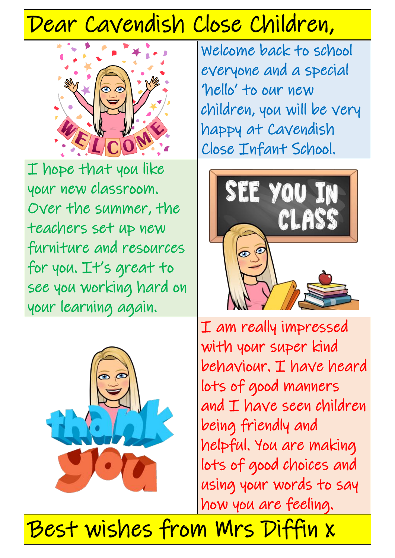# Dear Cavendish Close Children,



Welcome back to school everyone and a special 'hello' to our new children, you will be very happy at Cavendish Close Infant School.

I hope that you like your new classroom. Over the summer, the teachers set up new furniture and resources for you. It's great to see you working hard on your learning again.





I am really impressed with your super kind behaviour. I have heard lots of good manners and I have seen children being friendly and helpful. You are making lots of good choices and using your words to say how you are feeling.

Best wishes from Mrs Diffin x